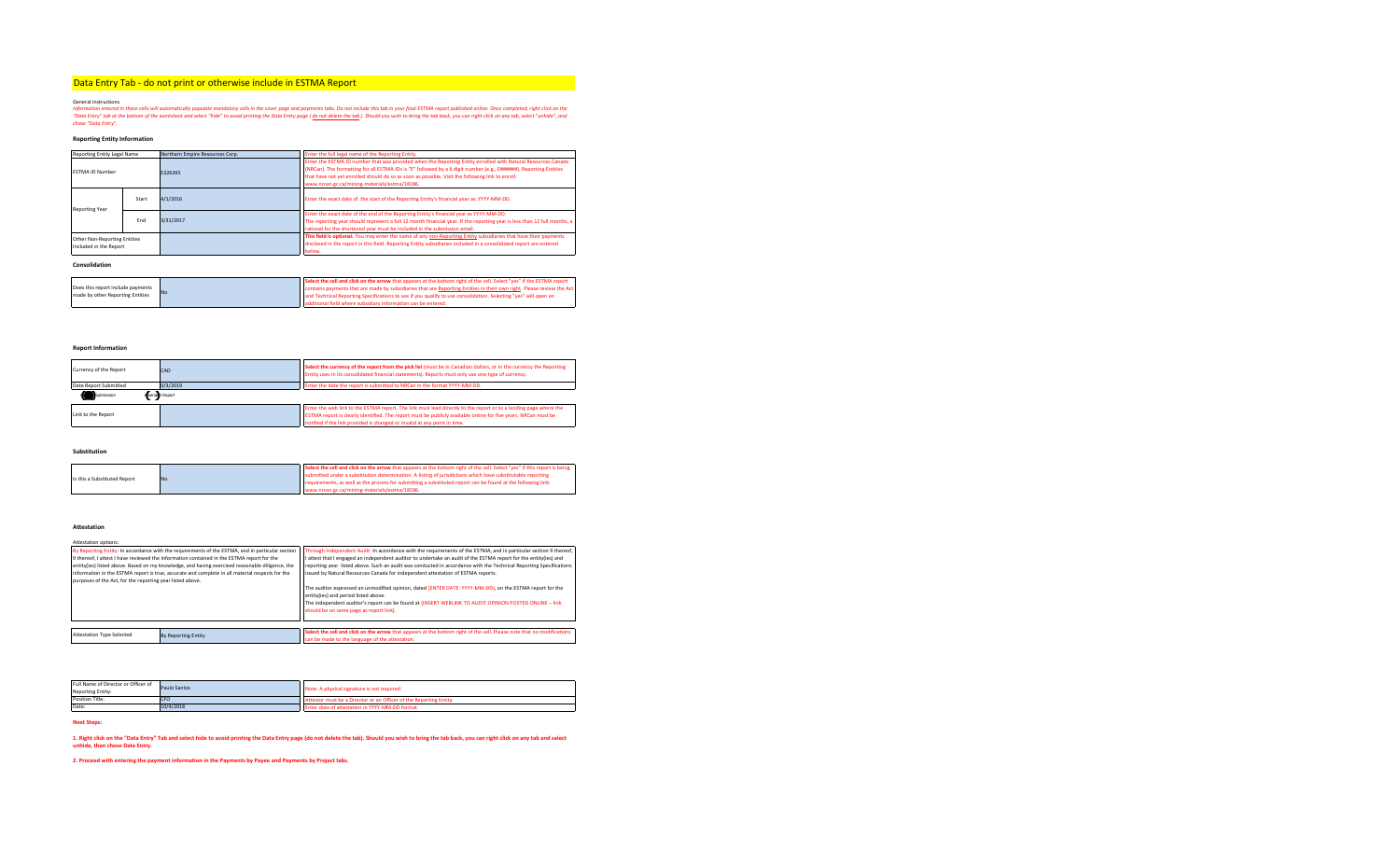# Data Entry Tab - do not print or otherwise include in ESTMA Report <sup>1</sup>

General Instructions<br>Information entered in these cells will automatically populate mondatory cells in the cover population of provide that the formation to the formation the the formation of the work formation of the work

## **Reporting Entity Information**

| Reporting Entity Legal Name                            |       | Northern Empire Resources Corp. | Enter the full legal name of the Reporting Entity.                                                                                                                                                                                                                                                                                                                                     |  |  |  |  |  |  |
|--------------------------------------------------------|-------|---------------------------------|----------------------------------------------------------------------------------------------------------------------------------------------------------------------------------------------------------------------------------------------------------------------------------------------------------------------------------------------------------------------------------------|--|--|--|--|--|--|
| <b>FSTMA ID Number</b>                                 |       | E326395                         | Enter the ESTMA ID number that was provided when the Reporting Entity enrolled with Natural Resources Canada<br>(NRCan). The formatting for all ESTMA IDs is "E" followed by a 6 digit number (e.g., E######). Reporting Entities<br>that have not yet enrolled should do so as soon as possible. Visit the following link to enroll:<br>www.nrcan.gc.ca/mining-materials/estma/18186. |  |  |  |  |  |  |
| <b>Reporting Year</b>                                  | Start | 4/1/2016                        | Enter the exact date of the start of the Reporting Entity's financial year as: YYYY-MM-DD.                                                                                                                                                                                                                                                                                             |  |  |  |  |  |  |
|                                                        | End   | 3/31/2017                       | Enter the exact date of the end of the Reporting Entity's financial year as YYYY-MM-DD.<br>The reporting year should represent a full 12 month financial year. If the reporting year is less than 12 full months, a<br>rational for the shortened year must be included in the submission email.                                                                                       |  |  |  |  |  |  |
| Other Non-Reporting Entities<br>Included in the Report |       |                                 | This field is optional. You may enter the name of any non-Reporting Entity subsidiaries that have their payments<br>disclosed in the report in this field. Reporting Entity subsidiaries included in a consolidated report are entered<br>below.                                                                                                                                       |  |  |  |  |  |  |

**Consolidation**

|                                   | <b>No</b> | Select the cell and click on the arrow that appears at the bottom right of the cell. Select "ves" if the ESTMA report |
|-----------------------------------|-----------|-----------------------------------------------------------------------------------------------------------------------|
| Does this report include payments |           | contains payments that are made by subsidiaries that are Reporting Entities in their own right. Please review the Act |
| made by other Reporting Entities  |           | and Technical Reporting Specifications to see if you qualify to use consolidation. Selecting "yes" will open an       |
|                                   |           | additional field where subsidiary information can be entered.                                                         |

# **Report Information**

| Currency of the Report | CAD           | Select the currency of the report from the pick list (must be in Canadian dollars, or in the currency the Reporting<br>Entity uses in its consolidated financial statements). Reports must only use one type of currency.                                                                                       |  |  |  |  |  |
|------------------------|---------------|-----------------------------------------------------------------------------------------------------------------------------------------------------------------------------------------------------------------------------------------------------------------------------------------------------------------|--|--|--|--|--|
| Date Report Submitted  | 0/3/2019      | Enter the date the report is submitted to NRCan in the format YYYY-MM-DD.                                                                                                                                                                                                                                       |  |  |  |  |  |
| Submission             | mend d Report |                                                                                                                                                                                                                                                                                                                 |  |  |  |  |  |
| Link to the Report     |               | Enter the web link to the ESTMA report. The link must lead directly to the report or to a landing page where the<br>ESTMA report is clearly identified. The report must be publicly available online for five years. NRCan must be<br>notified if the link provided is changed or invalid at any point in time. |  |  |  |  |  |

**Substitution**

|                              |           | Select the cell and click on the arrow that appears at the bottom right of the cell. Select "yes" if this report is being |
|------------------------------|-----------|---------------------------------------------------------------------------------------------------------------------------|
| Is this a Substituted Report | <b>No</b> | submitted under a substitution determination. A listing of jurisdictions which have substitutable reporting               |
|                              |           | requirements, as well as the process for submitting a substituted report can be found at the following link:              |
|                              |           | ec.ca/mining-materials/estma/18196.                                                                                       |

## **Attestation**

| Attestation options:                                      |                                                                                                  |                                                                                                                        |  |  |  |  |  |  |  |
|-----------------------------------------------------------|--------------------------------------------------------------------------------------------------|------------------------------------------------------------------------------------------------------------------------|--|--|--|--|--|--|--|
|                                                           | By Reporting Entity: In accordance with the requirements of the ESTMA, and in particular section | Through Independent Audit: In accordance with the requirements of the ESTMA, and in particular section 9 thereof,      |  |  |  |  |  |  |  |
|                                                           | 9 thereof. I attest I have reviewed the information contained in the ESTMA report for the        | I attest that I engaged an independent auditor to undertake an audit of the ESTMA report for the entity(ies) and       |  |  |  |  |  |  |  |
|                                                           | entity(ies) listed above. Based on my knowledge, and having exercised reasonable diligence, the  | reporting year listed above. Such an audit was conducted in accordance with the Technical Reporting Specifications     |  |  |  |  |  |  |  |
|                                                           | information in the ESTMA report is true, accurate and complete in all material respects for the  | issued by Natural Resources Canada for independent attestation of ESTMA reports.                                       |  |  |  |  |  |  |  |
| purposes of the Act, for the reporting year listed above. |                                                                                                  |                                                                                                                        |  |  |  |  |  |  |  |
|                                                           |                                                                                                  | The auditor expressed an unmodified opinion, dated [ENTER DATE: YYYY-MM-DD], on the ESTMA report for the               |  |  |  |  |  |  |  |
|                                                           |                                                                                                  | entity(ies) and period listed above.                                                                                   |  |  |  |  |  |  |  |
|                                                           |                                                                                                  | The independent auditor's report can be found at IINSERT WEBLINK TO AUDIT OPINION POSTED ONLINE - link                 |  |  |  |  |  |  |  |
|                                                           |                                                                                                  | should be on same page as report link].                                                                                |  |  |  |  |  |  |  |
|                                                           |                                                                                                  |                                                                                                                        |  |  |  |  |  |  |  |
|                                                           |                                                                                                  |                                                                                                                        |  |  |  |  |  |  |  |
| <b>Attestation Type Selected</b>                          | <b>By Reporting Entity</b>                                                                       | Select the cell and click on the arrow that appears at the bottom right of the cell. Please note that no modifications |  |  |  |  |  |  |  |
|                                                           |                                                                                                  | can be made to the language of the attestation.                                                                        |  |  |  |  |  |  |  |

| Full Name of Director or Officer of<br><b>Reporting Entity:</b> | Paulo Santos | Note: A physical signature is not required.                        |
|-----------------------------------------------------------------|--------------|--------------------------------------------------------------------|
| Position Title:                                                 | CFO          | Attestor must be a Director or an Officer of the Reporting Entity. |
| Date:                                                           | 10/4/2018    | Enter date of attestation in YYYY-MM-DD format.                    |
|                                                                 |              |                                                                    |

**Next Steps:**

1. Right dick on the "Data Entry" Tab and select hide to avoid printing the Data Entry page (do not delete the tab). Should you wish to bring the tab back, you can right click on any tab and select<br>unhide, then chose Data

**2. Proceed with entering the payment information in the Payments by Payee and Payments by Project tabs.**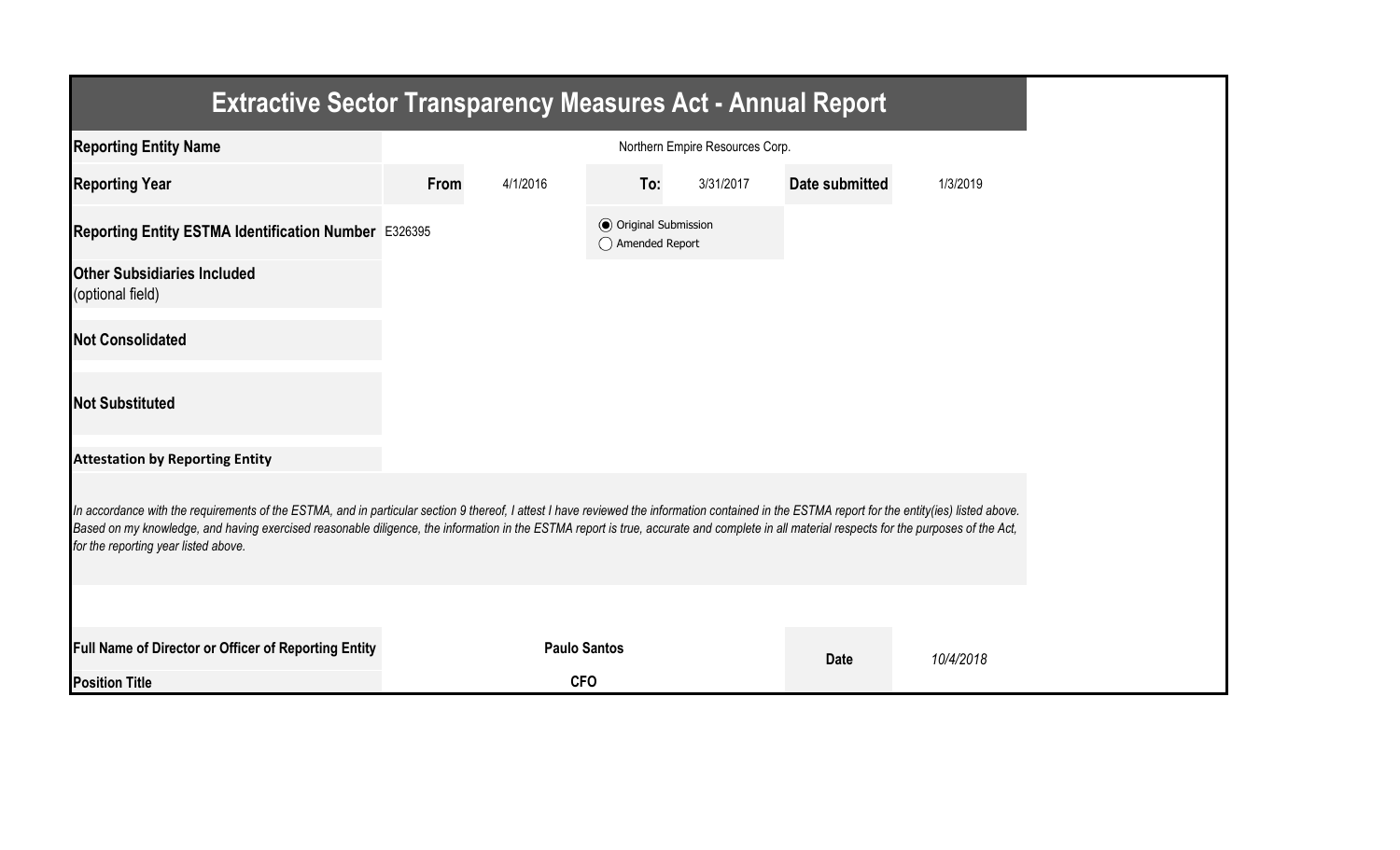| <b>Extractive Sector Transparency Measures Act - Annual Report</b>                                                                                                                                                                                                                                                                                                                                                                    |      |                     |                                                  |                                 |                       |           |
|---------------------------------------------------------------------------------------------------------------------------------------------------------------------------------------------------------------------------------------------------------------------------------------------------------------------------------------------------------------------------------------------------------------------------------------|------|---------------------|--------------------------------------------------|---------------------------------|-----------------------|-----------|
| <b>Reporting Entity Name</b>                                                                                                                                                                                                                                                                                                                                                                                                          |      |                     |                                                  | Northern Empire Resources Corp. |                       |           |
| <b>Reporting Year</b>                                                                                                                                                                                                                                                                                                                                                                                                                 | From | 4/1/2016            | To:                                              | 3/31/2017                       | <b>Date submitted</b> | 1/3/2019  |
| Reporting Entity ESTMA Identification Number E326395                                                                                                                                                                                                                                                                                                                                                                                  |      |                     | <b>◎</b> Original Submission<br>◯ Amended Report |                                 |                       |           |
| <b>Other Subsidiaries Included</b><br>(optional field)                                                                                                                                                                                                                                                                                                                                                                                |      |                     |                                                  |                                 |                       |           |
| <b>Not Consolidated</b>                                                                                                                                                                                                                                                                                                                                                                                                               |      |                     |                                                  |                                 |                       |           |
| <b>Not Substituted</b>                                                                                                                                                                                                                                                                                                                                                                                                                |      |                     |                                                  |                                 |                       |           |
| <b>Attestation by Reporting Entity</b>                                                                                                                                                                                                                                                                                                                                                                                                |      |                     |                                                  |                                 |                       |           |
| In accordance with the requirements of the ESTMA, and in particular section 9 thereof, I attest I have reviewed the information contained in the ESTMA report for the entity(ies) listed above.<br>Based on my knowledge, and having exercised reasonable diligence, the information in the ESTMA report is true, accurate and complete in all material respects for the purposes of the Act,<br>for the reporting year listed above. |      |                     |                                                  |                                 |                       |           |
|                                                                                                                                                                                                                                                                                                                                                                                                                                       |      |                     |                                                  |                                 |                       |           |
| Full Name of Director or Officer of Reporting Entity                                                                                                                                                                                                                                                                                                                                                                                  |      | <b>Paulo Santos</b> |                                                  |                                 | <b>Date</b>           | 10/4/2018 |
| <b>Position Title</b>                                                                                                                                                                                                                                                                                                                                                                                                                 |      | <b>CFO</b>          |                                                  |                                 |                       |           |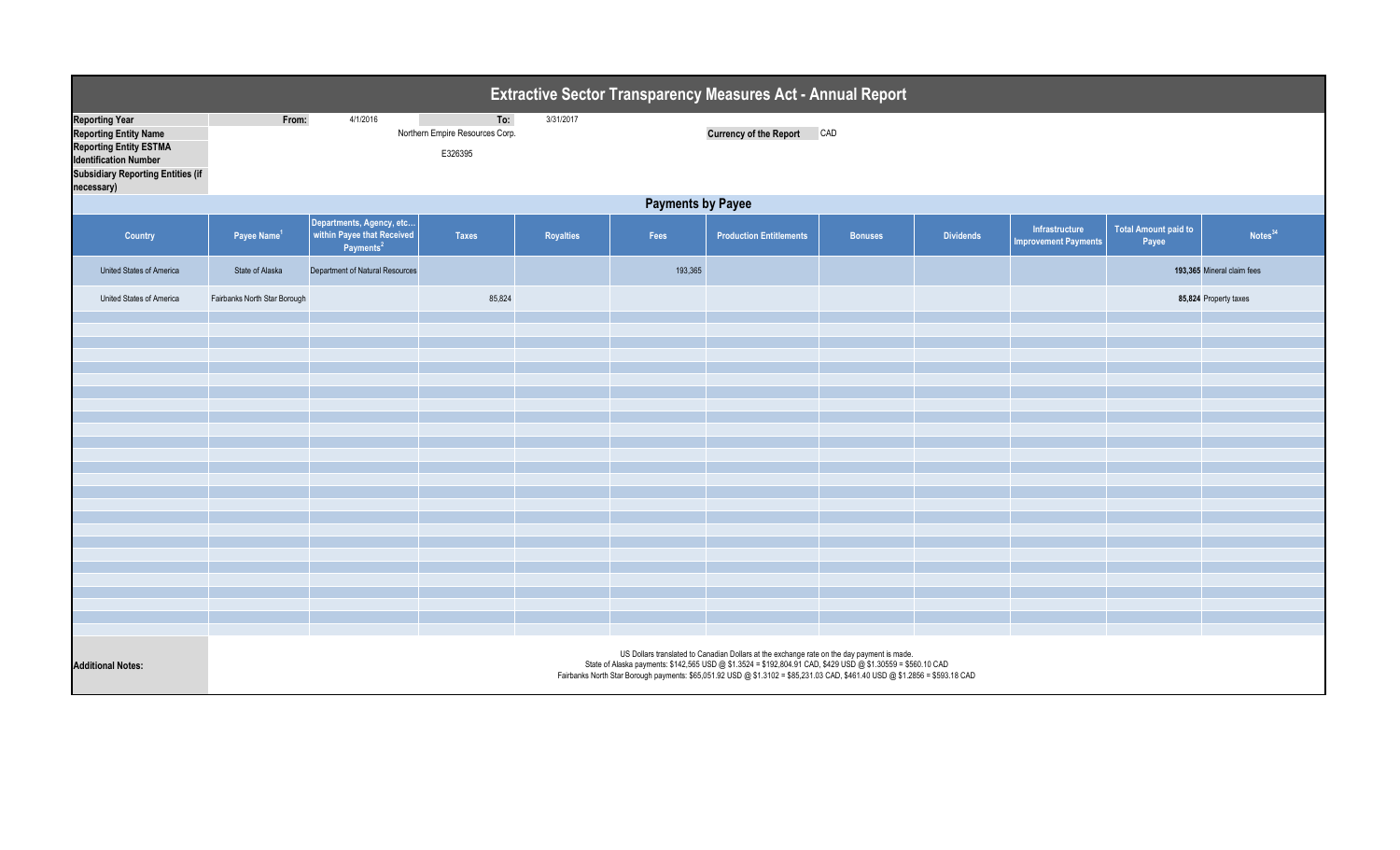|                                                                                                                                                                                  |                              |                                                                                 |                                                   |           |                          | Extractive Sector Transparency Measures Act - Annual Report                                                                                                                                                                                                                                                                              |                |                  |                                               |                                      |                            |
|----------------------------------------------------------------------------------------------------------------------------------------------------------------------------------|------------------------------|---------------------------------------------------------------------------------|---------------------------------------------------|-----------|--------------------------|------------------------------------------------------------------------------------------------------------------------------------------------------------------------------------------------------------------------------------------------------------------------------------------------------------------------------------------|----------------|------------------|-----------------------------------------------|--------------------------------------|----------------------------|
| <b>Reporting Year</b><br><b>Reporting Entity Name</b><br><b>Reporting Entity ESTMA</b><br><b>Identification Number</b><br><b>Subsidiary Reporting Entities (if</b><br>necessary) | From:                        | 4/1/2016                                                                        | To:<br>Northern Empire Resources Corp.<br>E326395 | 3/31/2017 |                          | <b>Currency of the Report</b>                                                                                                                                                                                                                                                                                                            | CAD            |                  |                                               |                                      |                            |
|                                                                                                                                                                                  |                              |                                                                                 |                                                   |           | <b>Payments by Payee</b> |                                                                                                                                                                                                                                                                                                                                          |                |                  |                                               |                                      |                            |
| Country                                                                                                                                                                          | Payee Name <sup>1</sup>      | Departments, Agency, etc<br>within Payee that Received<br>Payments <sup>2</sup> | <b>Taxes</b>                                      | Royalties | Fees                     | <b>Production Entitlements</b>                                                                                                                                                                                                                                                                                                           | <b>Bonuses</b> | <b>Dividends</b> | Infrastructure<br><b>Improvement Payments</b> | <b>Total Amount paid to</b><br>Payee | Notes <sup>34</sup>        |
| <b>United States of America</b>                                                                                                                                                  | State of Alaska              | Department of Natural Resources                                                 |                                                   |           | 193,365                  |                                                                                                                                                                                                                                                                                                                                          |                |                  |                                               |                                      | 193,365 Mineral claim fees |
| United States of America                                                                                                                                                         | Fairbanks North Star Borough |                                                                                 | 85,824                                            |           |                          |                                                                                                                                                                                                                                                                                                                                          |                |                  |                                               |                                      | 85,824 Property taxes      |
|                                                                                                                                                                                  |                              |                                                                                 |                                                   |           |                          |                                                                                                                                                                                                                                                                                                                                          |                |                  |                                               |                                      |                            |
|                                                                                                                                                                                  |                              |                                                                                 |                                                   |           |                          |                                                                                                                                                                                                                                                                                                                                          |                |                  |                                               |                                      |                            |
|                                                                                                                                                                                  |                              |                                                                                 |                                                   |           |                          |                                                                                                                                                                                                                                                                                                                                          |                |                  |                                               |                                      |                            |
|                                                                                                                                                                                  |                              |                                                                                 |                                                   |           |                          |                                                                                                                                                                                                                                                                                                                                          |                |                  |                                               |                                      |                            |
|                                                                                                                                                                                  |                              |                                                                                 |                                                   |           |                          |                                                                                                                                                                                                                                                                                                                                          |                |                  |                                               |                                      |                            |
|                                                                                                                                                                                  |                              |                                                                                 |                                                   |           |                          |                                                                                                                                                                                                                                                                                                                                          |                |                  |                                               |                                      |                            |
|                                                                                                                                                                                  |                              |                                                                                 |                                                   |           |                          |                                                                                                                                                                                                                                                                                                                                          |                |                  |                                               |                                      |                            |
|                                                                                                                                                                                  |                              |                                                                                 |                                                   |           |                          |                                                                                                                                                                                                                                                                                                                                          |                |                  |                                               |                                      |                            |
|                                                                                                                                                                                  |                              |                                                                                 |                                                   |           |                          |                                                                                                                                                                                                                                                                                                                                          |                |                  |                                               |                                      |                            |
|                                                                                                                                                                                  |                              |                                                                                 |                                                   |           |                          |                                                                                                                                                                                                                                                                                                                                          |                |                  |                                               |                                      |                            |
|                                                                                                                                                                                  |                              |                                                                                 |                                                   |           |                          |                                                                                                                                                                                                                                                                                                                                          |                |                  |                                               |                                      |                            |
|                                                                                                                                                                                  |                              |                                                                                 |                                                   |           |                          |                                                                                                                                                                                                                                                                                                                                          |                |                  |                                               |                                      |                            |
|                                                                                                                                                                                  |                              |                                                                                 |                                                   |           |                          |                                                                                                                                                                                                                                                                                                                                          |                |                  |                                               |                                      |                            |
|                                                                                                                                                                                  |                              |                                                                                 |                                                   |           |                          |                                                                                                                                                                                                                                                                                                                                          |                |                  |                                               |                                      |                            |
|                                                                                                                                                                                  |                              |                                                                                 |                                                   |           |                          |                                                                                                                                                                                                                                                                                                                                          |                |                  |                                               |                                      |                            |
|                                                                                                                                                                                  |                              |                                                                                 |                                                   |           |                          |                                                                                                                                                                                                                                                                                                                                          |                |                  |                                               |                                      |                            |
|                                                                                                                                                                                  |                              |                                                                                 |                                                   |           |                          |                                                                                                                                                                                                                                                                                                                                          |                |                  |                                               |                                      |                            |
|                                                                                                                                                                                  |                              |                                                                                 |                                                   |           |                          |                                                                                                                                                                                                                                                                                                                                          |                |                  |                                               |                                      |                            |
| <b>Additional Notes:</b>                                                                                                                                                         |                              |                                                                                 |                                                   |           |                          | US Dollars translated to Canadian Dollars at the exchange rate on the day payment is made.<br>State of Alaska payments: \$142,565 USD @ \$1.3524 = \$192,804.91 CAD, \$429 USD @ \$1.30559 = \$560.10 CAD<br>Fairbanks North Star Borough payments: \$65,051.92 USD @ \$1.3102 = \$85,231.03 CAD, \$461.40 USD @ \$1.2856 = \$593.18 CAD |                |                  |                                               |                                      |                            |